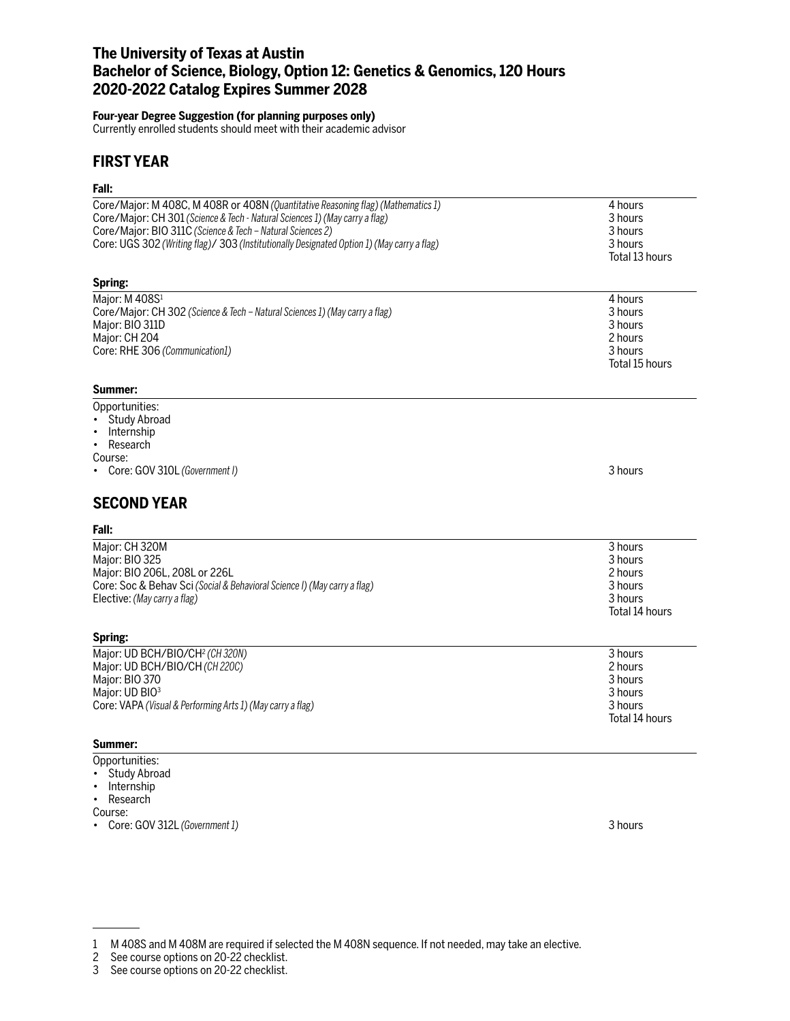# **The University of Texas at Austin Bachelor of Science, Biology, Option 12: Genetics & Genomics, 120 Hours 2020-2022 Catalog Expires Summer 2028**

## **Four-year Degree Suggestion (for planning purposes only)**

Currently enrolled students should meet with their academic advisor

## **FIRST YEAR**

# **Fall:**

| ган.                                                                                       |                |
|--------------------------------------------------------------------------------------------|----------------|
| Core/Major: M 408C, M 408R or 408N (Quantitative Reasoning flag) (Mathematics 1)           | 4 hours        |
| Core/Major: CH 301 (Science & Tech - Natural Sciences 1) (May carry a flag)                | 3 hours        |
| Core/Major: BIO 311C (Science & Tech - Natural Sciences 2)                                 | 3 hours        |
| Core: UGS 302 (Writing flag)/ 303 (Institutionally Designated Option 1) (May carry a flag) | 3 hours        |
|                                                                                            | Total 13 hours |
| Spring:                                                                                    |                |
| Major: M 408S1                                                                             | 4 hours        |
| Core/Major: CH 302 (Science & Tech - Natural Sciences 1) (May carry a flag)                | 3 hours        |
| Major: BIO 311D                                                                            | 3 hours        |
| Major: CH 204                                                                              | 2 hours        |
| Core: RHE 306 (Communication1)                                                             | 3 hours        |
|                                                                                            | Total 15 hours |
| Summer:                                                                                    |                |
| Opportunities:                                                                             |                |
| Study Abroad                                                                               |                |
| Internship<br>$\bullet$                                                                    |                |
| Research<br>$\bullet$                                                                      |                |
| Course:                                                                                    |                |
| Core: GOV 310L (Government I)                                                              | 3 hours        |
| <b>SECOND YEAR</b>                                                                         |                |
| Fall:                                                                                      |                |
| Major: CH 320M                                                                             | 3 hours        |
| Major: BIO 325                                                                             | 3 hours        |
| Major: BIO 206L, 208L or 226L                                                              | 2 hours        |
| Core: Soc & Behav Sci (Social & Behavioral Science I) (May carry a flag)                   | 3 hours        |
| Elective: (May carry a flag)                                                               | 3 hours        |
|                                                                                            | Total 14 hours |
| Spring:                                                                                    |                |
| Major: UD BCH/BIO/CH <sup>2</sup> (CH320N)                                                 | 3 hours        |
| Major: UD BCH/BIO/CH (CH 220C)                                                             | 2 hours        |
| Major: BIO 370                                                                             | 3 hours        |
| Major: UD BIO <sup>3</sup>                                                                 | 3 hours        |
| Core: VAPA (Visual & Performing Arts 1) (May carry a flag)                                 | 3 hours        |
|                                                                                            | Total 14 hours |
| Summer:                                                                                    |                |
| Opportunities:                                                                             |                |

- Study Abroad
- Internship
- Research

Course:

• Core: GOV 312L *(Government 1)* 3 hours

<sup>1</sup> M 408S and M 408M are required if selected the M 408N sequence. If not needed, may take an elective.

<sup>2</sup> See course options on 20-22 checklist.

<sup>3</sup> See course options on 20-22 checklist.